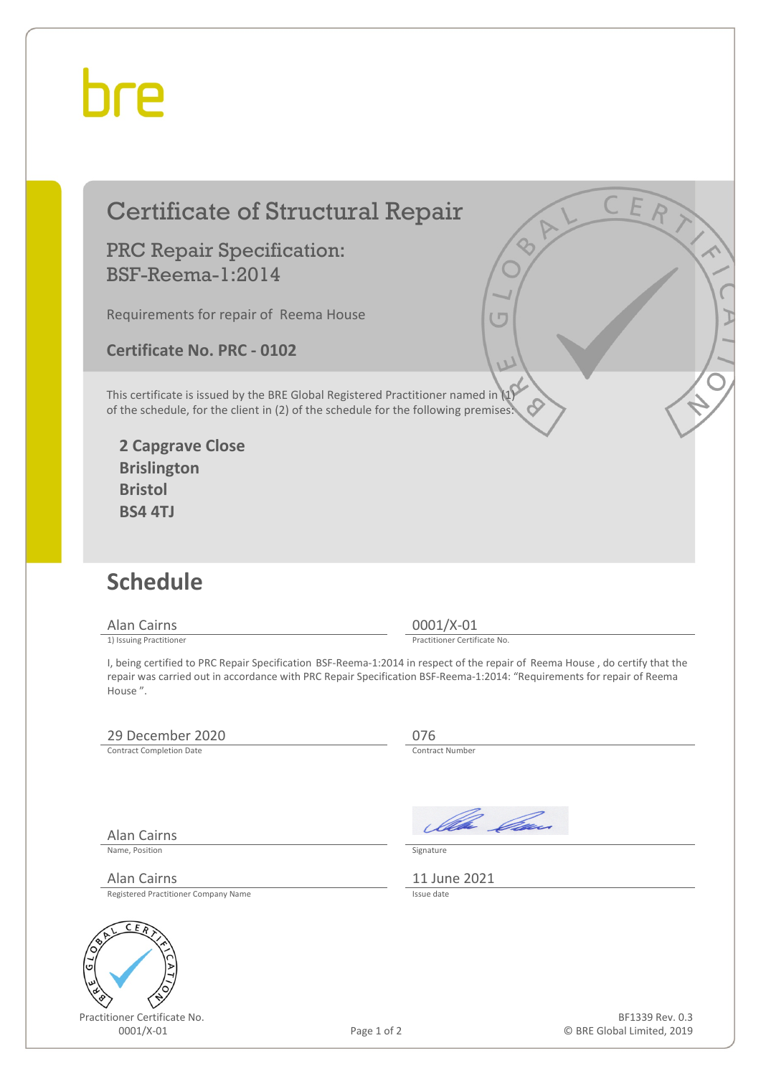## hre

### Certificate of Structural Repair

#### PRC Repair Specification: BSF-Reema-1:2014

Requirements for repair of Reema House

**Certificate No. PRC - 0102**

This certificate is issued by the BRE Global Registered Practitioner named in (1) of the schedule, for the client in (2) of the schedule for the following premises:

**2 Capgrave Close Brislington Bristol BS4 4TJ**

### **Schedule**

Alan Cairns 0001/X-01<br>
1) Issuing Practitioner<br>
1) Issuing Practitioner

Practitioner Certificate No.

I, being certified to PRC Repair Specification BSF-Reema-1:2014 in respect of the repair of Reema House , do certify that the repair was carried out in accordance with PRC Repair Specification BSF-Reema-1:2014: "Requirements for repair of Reema House ".

#### 29 December 2020<br>
Contract Completion Date<br>
Contract Number

Contract Completion Date

Ila *Ca*n

Name, Position Signature

Alan Cairns 11 June 2021<br>Registered Practitioner Company Name Registered Practitioner Company Name

Alan Cairns



Practitioner Certificate No.